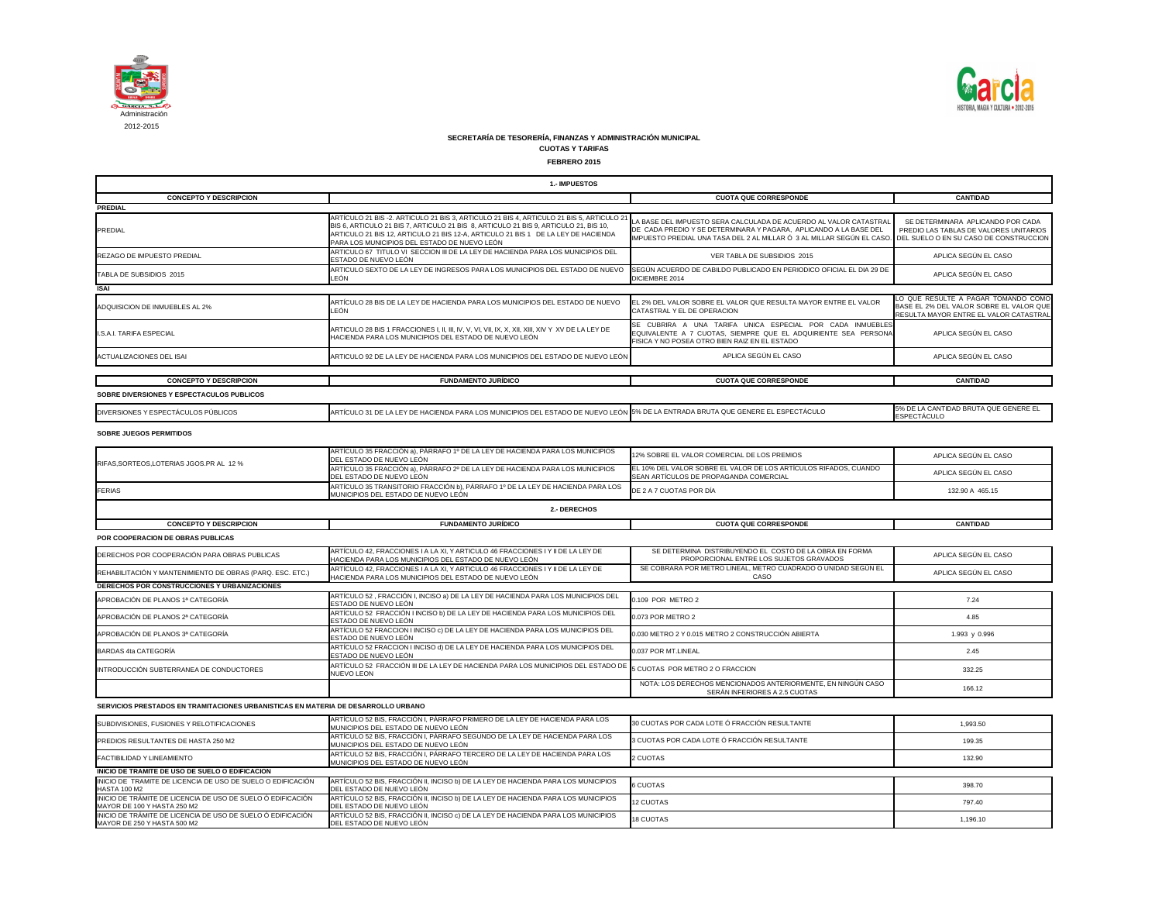

| 1.- IMPUESTOS                                                                                                                                             |                                                                                                                                                                                                                                                                                                                      |                                                                                                                                                                                                                                                         |                                                                                                                          |
|-----------------------------------------------------------------------------------------------------------------------------------------------------------|----------------------------------------------------------------------------------------------------------------------------------------------------------------------------------------------------------------------------------------------------------------------------------------------------------------------|---------------------------------------------------------------------------------------------------------------------------------------------------------------------------------------------------------------------------------------------------------|--------------------------------------------------------------------------------------------------------------------------|
| <b>CONCEPTO Y DESCRIPCION</b>                                                                                                                             |                                                                                                                                                                                                                                                                                                                      | <b>CUOTA QUE CORRESPONDE</b>                                                                                                                                                                                                                            | <b>CANTIDAD</b>                                                                                                          |
| <b>PREDIAL</b>                                                                                                                                            |                                                                                                                                                                                                                                                                                                                      |                                                                                                                                                                                                                                                         |                                                                                                                          |
| <b>PREDIAL</b>                                                                                                                                            | ARTÍCULO 21 BIS -2. ARTICULO 21 BIS 3, ARTICULO 21 BIS 4, ARTICULO 21 BIS 5, ARTICULO 2<br>BIS 6, ARTICULO 21 BIS 7, ARTICULO 21 BIS 8, ARTICULO 21 BIS 9, ARTICULO 21, BIS 10,<br>ARTICULO 21 BIS 12, ARTICULO 21 BIS 12-A, ARTICULO 21 BIS 1 DE LA LEY DE HACIENDA<br>PARA LOS MUNICIPIOS DEL ESTADO DE NUEVO LEÓN | LA BASE DEL IMPUESTO SERA CALCULADA DE ACUERDO AL VALOR CATASTRAL<br>DE CADA PREDIO Y SE DETERMINARA Y PAGARA, APLICANDO A LA BASE DEL<br>IMPUESTO PREDIAL UNA TASA DEL 2 AL MILLAR Ó 3 AL MILLAR SEGÚN EL CASO. DEL SUELO O EN SU CASO DE CONSTRUCCION | SE DETERMINARA APLICANDO POR CADA<br>PREDIO LAS TABLAS DE VALORES UNITARIOS                                              |
| <b>REZAGO DE IMPUESTO PREDIAL</b>                                                                                                                         | ARTICULO 67 TITULO VI SECCION III DE LA LEY DE HACIENDA PARA LOS MUNICIPIOS DEL<br>ESTADO DE NUEVO LEÓN                                                                                                                                                                                                              | VER TABLA DE SUBSIDIOS 2015                                                                                                                                                                                                                             | APLICA SEGÚN EL CASO                                                                                                     |
| TABLA DE SUBSIDIOS 2015                                                                                                                                   | ARTICULO SEXTO DE LA LEY DE INGRESOS PARA LOS MUNICIPIOS DEL ESTADO DE NUEVO<br>LEÓN                                                                                                                                                                                                                                 | SEGÚN ACUERDO DE CABILDO PUBLICADO EN PERIODICO OFICIAL EL DIA 29 DE<br>DICIEMBRE 2014                                                                                                                                                                  | APLICA SEGÚN EL CASO                                                                                                     |
| <b>ISAI</b>                                                                                                                                               |                                                                                                                                                                                                                                                                                                                      |                                                                                                                                                                                                                                                         |                                                                                                                          |
| ADQUISICION DE INMUEBLES AL 2%                                                                                                                            | ARTÍCULO 28 BIS DE LA LEY DE HACIENDA PARA LOS MUNICIPIOS DEL ESTADO DE NUEVO<br>LEÓN                                                                                                                                                                                                                                | EL 2% DEL VALOR SOBRE EL VALOR QUE RESULTA MAYOR ENTRE EL VALOR<br>CATASTRAL Y EL DE OPERACION                                                                                                                                                          | LO QUE RESULTE A PAGAR TOMANDO COMO<br>BASE EL 2% DEL VALOR SOBRE EL VALOR QUE<br>RESULTA MAYOR ENTRE EL VALOR CATASTRAL |
| <b>I.S.A.I. TARIFA ESPECIAL</b>                                                                                                                           | HACIENDA PARA LOS MUNICIPIOS DEL ESTADO DE NUEVO LEÓN                                                                                                                                                                                                                                                                | SE CUBRIRA A UNA TARIFA UNICA ESPECIAL POR CADA INMUEBLES<br>EQUIVALENTE A 7 CUOTAS, SIEMPRE QUE EL ADQUIRIENTE SEA PERSONA<br>FISICA Y NO POSEA OTRO BIEN RAIZ EN EL ESTADO                                                                            | APLICA SEGÚN EL CASO                                                                                                     |
| ACTUALIZACIONES DEL ISAI                                                                                                                                  | ARTICULO 92 DE LA LEY DE HACIENDA PARA LOS MUNICIPIOS DEL ESTADO DE NUEVO LEÓN                                                                                                                                                                                                                                       | APLICA SEGÚN EL CASO                                                                                                                                                                                                                                    | APLICA SEGÚN EL CASO                                                                                                     |
| <b>CONCEPTO Y DESCRIPCION</b>                                                                                                                             | <b>FUNDAMENTO JURÍDICO</b>                                                                                                                                                                                                                                                                                           | <b>CUOTA QUE CORRESPONDE</b>                                                                                                                                                                                                                            | <b>CANTIDAD</b>                                                                                                          |
| SOBRE DIVERSIONES Y ESPECTACULOS PUBLICOS                                                                                                                 |                                                                                                                                                                                                                                                                                                                      |                                                                                                                                                                                                                                                         |                                                                                                                          |
| DIVERSIONES Y ESPECTÁCULOS PÚBLICOS                                                                                                                       | ARTÍCULO 31 DE LA LEY DE HACIENDA PARA LOS MUNICIPIOS DEL ESTADO DE NUEVO LEÓN 5% DE LA ENTRADA BRUTA QUE GENERE EL ESPECTÁCULO                                                                                                                                                                                      |                                                                                                                                                                                                                                                         | 5% DE LA CANTIDAD BRUTA QUE GENERE EL<br>ESPECTÁCULO                                                                     |
| <b>SOBRE JUEGOS PERMITIDOS</b>                                                                                                                            |                                                                                                                                                                                                                                                                                                                      |                                                                                                                                                                                                                                                         |                                                                                                                          |
|                                                                                                                                                           | ARTÍCULO 35 FRACCIÓN a), PÁRRAFO 1º DE LA LEY DE HACIENDA PARA LOS MUNICIPIOS<br>DEL ESTADO DE NUEVO LEÓN                                                                                                                                                                                                            | 12% SOBRE EL VALOR COMERCIAL DE LOS PREMIOS                                                                                                                                                                                                             | APLICA SEGÚN EL CASO                                                                                                     |
| RIFAS, SORTEOS, LOTERIAS JGOS. PR AL 12 %                                                                                                                 | ARTÍCULO 35 FRACCIÓN a), PÁRRAFO 2º DE LA LEY DE HACIENDA PARA LOS MUNICIPIOS<br>DEL ESTADO DE NUEVO LEÓN                                                                                                                                                                                                            | EL 10% DEL VALOR SOBRE EL VALOR DE LOS ARTÍCULOS RIFADOS, CUANDO<br>SEAN ARTÍCULOS DE PROPAGANDA COMERCIAL                                                                                                                                              | APLICA SEGÚN EL CASO                                                                                                     |
| <b>FERIAS</b>                                                                                                                                             | ARTÍCULO 35 TRANSITORIO FRACCIÓN b), PÁRRAFO 1º DE LA LEY DE HACIENDA PARA LOS<br>MUNICIPIOS DEL ESTADO DE NUEVO LEÓN                                                                                                                                                                                                | DE 2 A 7 CUOTAS POR DÍA                                                                                                                                                                                                                                 | 132.90 A 465.15                                                                                                          |
|                                                                                                                                                           | 2.- DERECHOS                                                                                                                                                                                                                                                                                                         |                                                                                                                                                                                                                                                         |                                                                                                                          |
| <b>CONCEPTO Y DESCRIPCION</b>                                                                                                                             | <b>FUNDAMENTO JURÍDICO</b>                                                                                                                                                                                                                                                                                           | <b>CUOTA QUE CORRESPONDE</b>                                                                                                                                                                                                                            | <b>CANTIDAD</b>                                                                                                          |
| <b>POR COOPERACION DE OBRAS PUBLICAS</b>                                                                                                                  |                                                                                                                                                                                                                                                                                                                      |                                                                                                                                                                                                                                                         |                                                                                                                          |
| DERECHOS POR COOPERACIÓN PARA OBRAS PUBLICAS                                                                                                              | ARTÍCULO 42, FRACCIONES I A LA XI, Y ARTICULO 46 FRACCIONES I Y II DE LA LEY DE<br>HACIENDA PARA LOS MUNICIPIOS DEL ESTADO DE NUEVO LEÓN                                                                                                                                                                             | SE DETERMINA DISTRIBUYENDO EL COSTO DE LA OBRA EN FORMA<br>PROPORCIONAL ENTRE LOS SUJETOS GRAVADOS                                                                                                                                                      | APLICA SEGÚN EL CASO                                                                                                     |
| REHABILITACIÓN Y MANTENIMIENTO DE OBRAS (PARQ. ESC. ETC.)                                                                                                 | ARTÍCULO 42, FRACCIONES I A LA XI, Y ARTICULO 46 FRACCIONES I Y II DE LA LEY DE<br>HACIENDA PARA LOS MUNICIPIOS DEL ESTADO DE NUEVO LEÓN                                                                                                                                                                             | SE COBRARA POR METRO LINEAL, METRO CUADRADO O UNIDAD SEGÚN EL<br>CASO                                                                                                                                                                                   | APLICA SEGÚN EL CASO                                                                                                     |
| DERECHOS POR CONSTRUCCIONES Y URBANIZACIONES                                                                                                              |                                                                                                                                                                                                                                                                                                                      |                                                                                                                                                                                                                                                         |                                                                                                                          |
| APROBACIÓN DE PLANOS 1ª CATEGORÍA                                                                                                                         | ARTÍCULO 52, FRACCIÓN I, INCISO a) DE LA LEY DE HACIENDA PARA LOS MUNICIPIOS DEL<br>ESTADO DE NUEVO LEÓN                                                                                                                                                                                                             | 0.109 POR METRO 2                                                                                                                                                                                                                                       | 7.24                                                                                                                     |
| APROBACIÓN DE PLANOS 2ª CATEGORÍA                                                                                                                         | ARTÍCULO 52 FRACCIÓN I INCISO b) DE LA LEY DE HACIENDA PARA LOS MUNICIPIOS DEL<br>ESTADO DE NUEVO LEÓN                                                                                                                                                                                                               | 0.073 POR METRO 2                                                                                                                                                                                                                                       | 4.85                                                                                                                     |
| APROBACIÓN DE PLANOS 3ª CATEGORÍA                                                                                                                         | ARTÍCULO 52 FRACCION I INCISO c) DE LA LEY DE HACIENDA PARA LOS MUNICIPIOS DEL<br>ESTADO DE NUEVO LEÓN                                                                                                                                                                                                               | 0.030 METRO 2 Y 0.015 METRO 2 CONSTRUCCIÓN ABIERTA                                                                                                                                                                                                      | 1.993 y 0.996                                                                                                            |
| <b>BARDAS 4ta CATEGORÍA</b>                                                                                                                               | ARTÍCULO 52 FRACCION I INCISO d) DE LA LEY DE HACIENDA PARA LOS MUNICIPIOS DEL<br>ESTADO DE NUEVO LEÓN                                                                                                                                                                                                               | 0.037 POR MT.LINEAL                                                                                                                                                                                                                                     | 2.45                                                                                                                     |
| INTRODUCCIÓN SUBTERRANEA DE CONDUCTORES                                                                                                                   | ARTÍCULO 52 FRACCIÓN III DE LA LEY DE HACIENDA PARA LOS MUNICIPIOS DEL ESTADO DE<br><b>NUEVO LEON</b>                                                                                                                                                                                                                | 5 CUOTAS POR METRO 2 O FRACCION                                                                                                                                                                                                                         | 332.25                                                                                                                   |
|                                                                                                                                                           |                                                                                                                                                                                                                                                                                                                      | NOTA: LOS DERECHOS MENCIONADOS ANTERIORMENTE, EN NINGÚN CASO<br>SERÁN INFERIORES A 2.5 CUOTAS                                                                                                                                                           | 166.12                                                                                                                   |
| SERVICIOS PRESTADOS EN TRAMITACIONES URBANISTICAS EN MATERIA DE DESARROLLO URBANO                                                                         |                                                                                                                                                                                                                                                                                                                      |                                                                                                                                                                                                                                                         |                                                                                                                          |
| SUBDIVISIONES, FUSIONES Y RELOTIFICACIONES                                                                                                                | ARTÍCULO 52 BIS, FRACCIÓN I, PÁRRAFO PRIMERO DE LA LEY DE HACIENDA PARA LOS<br>MUNICIPIOS DEL ESTADO DE NUEVO LEÓN                                                                                                                                                                                                   | 30 CUOTAS POR CADA LOTE Ó FRACCIÓN RESULTANTE                                                                                                                                                                                                           | 1,993.50                                                                                                                 |
| PREDIOS RESULTANTES DE HASTA 250 M2                                                                                                                       | ARTÍCULO 52 BIS, FRACCIÓN I, PÁRRAFO SEGUNDO DE LA LEY DE HACIENDA PARA LOS<br>MUNICIPIOS DEL ESTADO DE NUEVO LEÓN                                                                                                                                                                                                   | 3 CUOTAS POR CADA LOTE Ó FRACCIÓN RESULTANTE                                                                                                                                                                                                            | 199.35                                                                                                                   |
| <b>FACTIBILIDAD Y LINEAMIENTO</b>                                                                                                                         | ARTÍCULO 52 BIS, FRACCIÓN I, PÁRRAFO TERCERO DE LA LEY DE HACIENDA PARA LOS<br>MUNICIPIOS DEL ESTADO DE NUEVO LEÓN                                                                                                                                                                                                   | 2 CUOTAS                                                                                                                                                                                                                                                | 132.90                                                                                                                   |
| INICIO DE TRAMITE DE USO DE SUELO O EDIFICACION<br>INICIO DE TRAMITE DE LICENCIA DE USO DE SUELO O EDIFICACIÓN                                            | ARTÍCULO 52 BIS, FRACCIÓN II, INCISO b) DE LA LEY DE HACIENDA PARA LOS MUNICIPIOS                                                                                                                                                                                                                                    |                                                                                                                                                                                                                                                         |                                                                                                                          |
| <b>HASTA 100 M2</b>                                                                                                                                       |                                                                                                                                                                                                                                                                                                                      | 6 CUOTAS                                                                                                                                                                                                                                                | 398.70                                                                                                                   |
|                                                                                                                                                           | DEL ESTADO DE NUEVO LEÓN                                                                                                                                                                                                                                                                                             |                                                                                                                                                                                                                                                         |                                                                                                                          |
| INICIO DE TRÁMITE DE LICENCIA DE USO DE SUELO Ó EDIFICACIÓN<br>MAYOR DE 100 Y HASTA 250 M2<br>INICIO DE TRÁMITE DE LICENCIA DE USO DE SUELO Ó EDIFICACIÓN | ARTÍCULO 52 BIS, FRACCIÓN II, INCISO b) DE LA LEY DE HACIENDA PARA LOS MUNICIPIOS<br>DEL ESTADO DE NUEVO LEÓN<br>ARTÍCULO 52 BIS, FRACCIÓN II, INCISO c) DE LA LEY DE HACIENDA PARA LOS MUNICIPIOS                                                                                                                   | 12 CUOTAS<br><b>18 CUOTAS</b>                                                                                                                                                                                                                           | 797.40                                                                                                                   |



# **SECRETARÍA DE TESORERÍA, FINANZAS Y ADMINISTRACIÓN MUNICIPAL**

**CUOTAS Y TARIFAS FEBRERO 2015**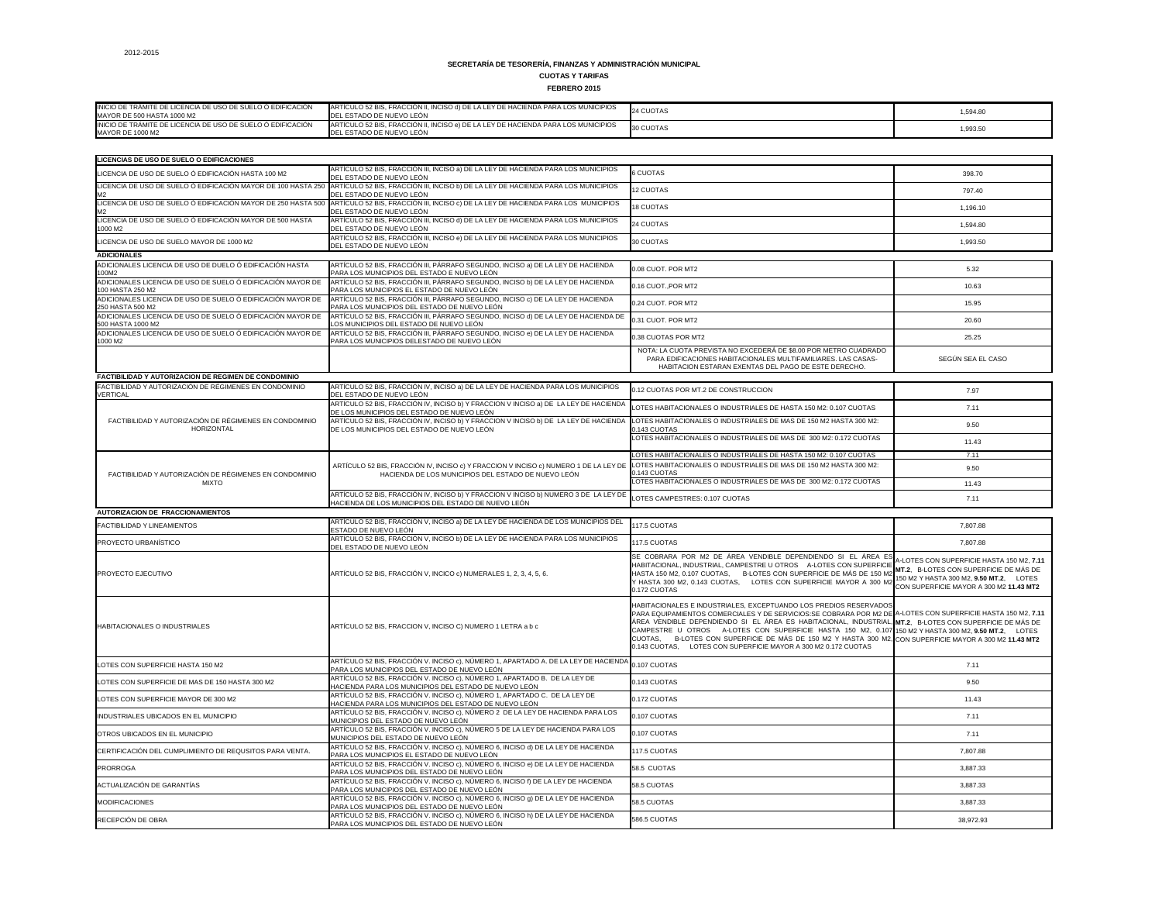**FEBRERO 2015**

| INICIO DE TRAMITE DE LICENCIA DE USO DE SUELO O EDIFICACIÓN<br>MAYOR DE 500 HASTA 1000 M2 | ARTÍCULO 52 BIS, FRACCIÓN II, INCISO d) DE LA LEY DE HACIENDA PARA LOS MUNICIPIOS<br><b>IDEL ESTADO DE NUEVO LEÓN</b> | 24 CUOTAS | 1.594.80 |
|-------------------------------------------------------------------------------------------|-----------------------------------------------------------------------------------------------------------------------|-----------|----------|
| INICIO DE TRÁMITE DE LICENCIA DE USO DE SUELO Ó EDIFICACIÓN<br><b>MAYOR DE 1000 M2</b>    | ARTÍCULO 52 BIS, FRACCIÓN II, INCISO e) DE LA LEY DE HACIENDA PARA LOS MUNICIPIOS<br>L ESTADO DE NUEVO LEÓN           | 30 CUOTAS | 1,993.50 |

| <b>LICENCIAS DE USO DE SUELO O EDIFICACIONES</b>                                                               | ARTÍCULO 52 BIS, FRACCIÓN III, INCISO a) DE LA LEY DE HACIENDA PARA LOS MUNICIPIOS                                                                                                                    |                                                                                                                                                                                                                                                                                                                                                                                                                                                                                                                                                                                    |                                                                                                                                                                           |
|----------------------------------------------------------------------------------------------------------------|-------------------------------------------------------------------------------------------------------------------------------------------------------------------------------------------------------|------------------------------------------------------------------------------------------------------------------------------------------------------------------------------------------------------------------------------------------------------------------------------------------------------------------------------------------------------------------------------------------------------------------------------------------------------------------------------------------------------------------------------------------------------------------------------------|---------------------------------------------------------------------------------------------------------------------------------------------------------------------------|
| LICENCIA DE USO DE SUELO Ó EDIFICACIÓN HASTA 100 M2                                                            | DEL ESTADO DE NUEVO LEÓN                                                                                                                                                                              | 6 CUOTAS                                                                                                                                                                                                                                                                                                                                                                                                                                                                                                                                                                           | 398.70                                                                                                                                                                    |
| LICENCIA DE USO DE SUELO Ó EDIFICACIÓN MAYOR DE 100 HASTA 250<br>M2                                            | ARTÍCULO 52 BIS, FRACCIÓN III, INCISO b) DE LA LEY DE HACIENDA PARA LOS MUNICIPIOS<br>DEL ESTADO DE NUEVO LEÓN                                                                                        | 12 CUOTAS                                                                                                                                                                                                                                                                                                                                                                                                                                                                                                                                                                          | 797.40                                                                                                                                                                    |
| LICENCIA DE USO DE SUELO Ó EDIFICACIÓN MAYOR DE 250 HASTA 500<br>М2                                            | ARTÍCULO 52 BIS, FRACCIÓN III, INCISO c) DE LA LEY DE HACIENDA PARA LOS MUNICIPIOS<br>DEL ESTADO DE NUEVO LEÓN                                                                                        | <b>18 CUOTAS</b>                                                                                                                                                                                                                                                                                                                                                                                                                                                                                                                                                                   | 1,196.10                                                                                                                                                                  |
| LICENCIA DE USO DE SUELO Ó EDIFICACIÓN MAYOR DE 500 HASTA<br>1000 M2                                           | ARTÍCULO 52 BIS, FRACCIÓN III, INCISO d) DE LA LEY DE HACIENDA PARA LOS MUNICIPIOS<br>DEL ESTADO DE NUEVO LEÓN                                                                                        | 24 CUOTAS                                                                                                                                                                                                                                                                                                                                                                                                                                                                                                                                                                          | 1,594.80                                                                                                                                                                  |
| LICENCIA DE USO DE SUELO MAYOR DE 1000 M2                                                                      | ARTÍCULO 52 BIS, FRACCIÓN III, INCISO e) DE LA LEY DE HACIENDA PARA LOS MUNICIPIOS<br>DEL ESTADO DE NUEVO LEÓN                                                                                        | 30 CUOTAS                                                                                                                                                                                                                                                                                                                                                                                                                                                                                                                                                                          | 1,993.50                                                                                                                                                                  |
| <b>ADICIONALES</b>                                                                                             |                                                                                                                                                                                                       |                                                                                                                                                                                                                                                                                                                                                                                                                                                                                                                                                                                    |                                                                                                                                                                           |
| ADICIONALES LICENCIA DE USO DE DUELO Ó EDIFICACIÓN HASTA<br>100M2                                              | ARTÍCULO 52 BIS, FRACCIÓN III, PÁRRAFO SEGUNDO, INCISO a) DE LA LEY DE HACIENDA<br>PARA LOS MUNICIPIOS DEL ESTADO E NUEVO LEÓN                                                                        | 0.08 CUOT. POR MT2                                                                                                                                                                                                                                                                                                                                                                                                                                                                                                                                                                 | 5.32                                                                                                                                                                      |
| ADICIONALES LICENCIA DE USO DE SUELO Ó EDIFICACIÓN MAYOR DE<br>100 HASTA 250 M2                                | ARTÍCULO 52 BIS, FRACCIÓN III, PÁRRAFO SEGUNDO, INCISO b) DE LA LEY DE HACIENDA<br>PARA LOS MUNICIPIOS EL ESTADO DE NUEVO LEÓN                                                                        | 0.16 CUOT., POR MT2                                                                                                                                                                                                                                                                                                                                                                                                                                                                                                                                                                | 10.63                                                                                                                                                                     |
| ADICIONALES LICENCIA DE USO DE SUELO Ó EDIFICACIÓN MAYOR DE<br>250 HASTA 500 M2                                | ARTÍCULO 52 BIS, FRACCIÓN III, PÁRRAFO SEGUNDO, INCISO c) DE LA LEY DE HACIENDA<br>PARA LOS MUNICIPIOS DEL ESTADO DE NUEVO LEÓN                                                                       | 0.24 CUOT. POR MT2                                                                                                                                                                                                                                                                                                                                                                                                                                                                                                                                                                 | 15.95                                                                                                                                                                     |
| ADICIONALES LICENCIA DE USO DE SUELO Ó EDIFICACIÓN MAYOR DE<br>500 HASTA 1000 M2                               | ARTÍCULO 52 BIS, FRACCIÓN III, PÁRRAFO SEGUNDO, INCISO d) DE LA LEY DE HACIENDA DE<br>LOS MUNICIPIOS DEL ESTADO DE NUEVO LEÓN                                                                         | 0.31 CUOT. POR MT2                                                                                                                                                                                                                                                                                                                                                                                                                                                                                                                                                                 | 20.60                                                                                                                                                                     |
| ADICIONALES LICENCIA DE USO DE SUELO Ó EDIFICACIÓN MAYOR DE<br>1000 M2                                         | ARTÍCULO 52 BIS, FRACCIÓN III, PÁRRAFO SEGUNDO, INCISO e) DE LA LEY DE HACIENDA<br>PARA LOS MUNICIPIOS DELESTADO DE NUEVO LEÓN                                                                        | 0.38 CUOTAS POR MT2                                                                                                                                                                                                                                                                                                                                                                                                                                                                                                                                                                | 25.25                                                                                                                                                                     |
|                                                                                                                |                                                                                                                                                                                                       | NOTA: LA CUOTA PREVISTA NO EXCEDERÁ DE \$8.00 POR METRO CUADRADO<br>PARA EDIFICACIONES HABITACIONALES MULTIFAMILIARES. LAS CASAS-<br>HABITACION ESTARAN EXENTAS DEL PAGO DE ESTE DERECHO.                                                                                                                                                                                                                                                                                                                                                                                          | SEGÚN SEA EL CASO                                                                                                                                                         |
| FACTIBILIDAD Y AUTORIZACION DE REGIMEN DE CONDOMINIO<br>FACTIBILIDAD Y AUTORIZACIÓN DE RÉGIMENES EN CONDOMINIO | ARTÍCULO 52 BIS, FRACCIÓN IV, INCISO a) DE LA LEY DE HACIENDA PARA LOS MUNICIPIOS                                                                                                                     |                                                                                                                                                                                                                                                                                                                                                                                                                                                                                                                                                                                    |                                                                                                                                                                           |
| <b>VERTICAL</b>                                                                                                | DEL ESTADO DE NUEVO LEÓN                                                                                                                                                                              | 0.12 CUOTAS POR MT.2 DE CONSTRUCCION                                                                                                                                                                                                                                                                                                                                                                                                                                                                                                                                               | 7.97                                                                                                                                                                      |
| FACTIBILIDAD Y AUTORIZACIÓN DE RÉGIMENES EN CONDOMINIO                                                         | ARTÍCULO 52 BIS, FRACCIÓN IV, INCISO b) Y FRACCION V INCISO a) DE LA LEY DE HACIENDA<br>DE LOS MUNICIPIOS DEL ESTADO DE NUEVO LEÓN                                                                    | LOTES HABITACIONALES O INDUSTRIALES DE HASTA 150 M2: 0.107 CUOTAS                                                                                                                                                                                                                                                                                                                                                                                                                                                                                                                  | 7.11                                                                                                                                                                      |
| HORIZONTAL                                                                                                     | ARTÍCULO 52 BIS, FRACCIÓN IV, INCISO b) Y FRACCION V INCISO b) DE LA LEY DE HACIENDA LOTES HABITACIONALES O INDUSTRIALES DE MAS DE 150 M2 HASTA 300 M2:<br>DE LOS MUNICIPIOS DEL ESTADO DE NUEVO LEÓN | 0.143 CUOTAS                                                                                                                                                                                                                                                                                                                                                                                                                                                                                                                                                                       | 9.50                                                                                                                                                                      |
|                                                                                                                |                                                                                                                                                                                                       | LOTES HABITACIONALES O INDUSTRIALES DE MAS DE 300 M2: 0.172 CUOTAS                                                                                                                                                                                                                                                                                                                                                                                                                                                                                                                 | 11.43                                                                                                                                                                     |
|                                                                                                                |                                                                                                                                                                                                       | LOTES HABITACIONALES O INDUSTRIALES DE HASTA 150 M2: 0.107 CUOTAS                                                                                                                                                                                                                                                                                                                                                                                                                                                                                                                  | 7.11                                                                                                                                                                      |
| FACTIBILIDAD Y AUTORIZACIÓN DE RÉGIMENES EN CONDOMINIO                                                         | ARTÍCULO 52 BIS, FRACCIÓN IV, INCISO c) Y FRACCION V INCISO c) NUMERO 1 DE LA LEY DE<br>HACIENDA DE LOS MUNICIPIOS DEL ESTADO DE NUEVO LEÓN                                                           | LOTES HABITACIONALES O INDUSTRIALES DE MAS DE 150 M2 HASTA 300 M2:<br>0.143 CUOTAS                                                                                                                                                                                                                                                                                                                                                                                                                                                                                                 | 9.50                                                                                                                                                                      |
| <b>MIXTO</b>                                                                                                   | ARTÍCULO 52 BIS, FRACCIÓN IV, INCISO b) Y FRACCION V INCISO b) NUMERO 3 DE LA LEY DE                                                                                                                  | LOTES HABITACIONALES O INDUSTRIALES DE MAS DE 300 M2: 0.172 CUOTAS                                                                                                                                                                                                                                                                                                                                                                                                                                                                                                                 | 11.43                                                                                                                                                                     |
|                                                                                                                | HACIENDA DE LOS MUNICIPIOS DEL ESTADO DE NUEVO LEÓN                                                                                                                                                   | LOTES CAMPESTRES: 0.107 CUOTAS                                                                                                                                                                                                                                                                                                                                                                                                                                                                                                                                                     | 7.11                                                                                                                                                                      |
| <b>AUTORIZACION DE FRACCIONAMIENTOS</b>                                                                        | ARTÍCULO 52 BIS, FRACCIÓN V, INCISO a) DE LA LEY DE HACIENDA DE LOS MUNICIPIOS DEL                                                                                                                    |                                                                                                                                                                                                                                                                                                                                                                                                                                                                                                                                                                                    |                                                                                                                                                                           |
| <b>FACTIBILIDAD Y LINEAMIENTOS</b>                                                                             | ESTADO DE NUEVO LEÓN<br>ARTÍCULO 52 BIS, FRACCIÓN V, INCISO b) DE LA LEY DE HACIENDA PARA LOS MUNICIPIOS                                                                                              | 117.5 CUOTAS                                                                                                                                                                                                                                                                                                                                                                                                                                                                                                                                                                       | 7,807.88                                                                                                                                                                  |
| PROYECTO URBANÍSTICO                                                                                           | DEL ESTADO DE NUEVO LEÓN                                                                                                                                                                              | 117.5 CUOTAS                                                                                                                                                                                                                                                                                                                                                                                                                                                                                                                                                                       | 7,807.88                                                                                                                                                                  |
| <b>PROYECTO EJECUTIVO</b>                                                                                      | ARTÍCULO 52 BIS, FRACCIÓN V, INCICO c) NUMERALES 1, 2, 3, 4, 5, 6.                                                                                                                                    | SE COBRARA POR M2 DE ÁREA VENDIBLE DEPENDIENDO SI EL ÁREA ES<br>HABITACIONAL, INDUSTRIAL, CAMPESTRE U OTROS A-LOTES CON SUPERFICIE<br>HASTA 150 M2, 0.107 CUOTAS, B-LOTES CON SUPERFICIE DE MÁS DE 150 M<br>Y HASTA 300 M2, 0.143 CUOTAS, LOTES CON SUPERFICIE MAYOR A 300 M2<br>0.172 CUOTAS                                                                                                                                                                                                                                                                                      | A-LOTES CON SUPERFICIE HASTA 150 M2, 7.11<br>MT.2, B-LOTES CON SUPERFICIE DE MÁS DE<br>150 M2 Y HASTA 300 M2, 9.50 MT.2, LOTES<br>CON SUPERFICIE MAYOR A 300 M2 11.43 MT2 |
| <b>HABITACIONALES O INDUSTRIALES</b>                                                                           | ARTÍCULO 52 BIS, FRACCION V, INCISO C) NUMERO 1 LETRA a b c                                                                                                                                           | HABITACIONALES E INDUSTRIALES, EXCEPTUANDO LOS PREDIOS RESERVADOS<br>PARA EQUIPAMIENTOS COMERCIALES Y DE SERVICIOS:SE COBRARA POR M2 DE A-LOTES CON SUPERFICIE HASTA 150 M2, 7.11<br>ÁREA VENDIBLE DEPENDIENDO SI EL ÁREA ES HABITACIONAL, INDUSTRIAL, MT.2, B-LOTES CON SUPERFICIE DE MÁS DE<br>CAMPESTRE U OTROS A-LOTES CON SUPERFICIE HASTA 150 M2, 0.107 150 M2 Y HASTA 300 M2, 9.50 MT.2, LOTES<br>CUOTAS, B-LOTES CON SUPERFICIE DE MÁS DE 150 M2 Y HASTA 300 M2, CON SUPERFICIE MAYOR A 300 M2 11.43 MT2<br>0.143 CUOTAS, LOTES CON SUPERFICIE MAYOR A 300 M2 0.172 CUOTAS |                                                                                                                                                                           |
| LOTES CON SUPERFICIE HASTA 150 M2                                                                              | ARTÍCULO 52 BIS, FRACCIÓN V. INCISO c), NÚMERO 1, APARTADO A. DE LA LEY DE HACIENDA<br>PARA LOS MUNICIPIOS DEL ESTADO DE NUEVO LEÓN                                                                   | 0.107 CUOTAS                                                                                                                                                                                                                                                                                                                                                                                                                                                                                                                                                                       | 7.11                                                                                                                                                                      |
| LOTES CON SUPERFICIE DE MAS DE 150 HASTA 300 M2                                                                | ARTÍCULO 52 BIS, FRACCIÓN V. INCISO c), NÚMERO 1, APARTADO B. DE LA LEY DE<br>HACIENDA PARA LOS MUNICIPIOS DEL ESTADO DE NUEVO LEÓN                                                                   | 0.143 CUOTAS                                                                                                                                                                                                                                                                                                                                                                                                                                                                                                                                                                       | 9.50                                                                                                                                                                      |
| LOTES CON SUPERFICIE MAYOR DE 300 M2                                                                           | ARTÍCULO 52 BIS, FRACCIÓN V. INCISO c), NÚMERO 1, APARTADO C. DE LA LEY DE<br>HACIENDA PARA LOS MUNICIPIOS DEL ESTADO DE NUEVO LEÓN                                                                   | 0.172 CUOTAS                                                                                                                                                                                                                                                                                                                                                                                                                                                                                                                                                                       | 11.43                                                                                                                                                                     |
| INDUSTRIALES UBICADOS EN EL MUNICIPIO                                                                          | ARTÍCULO 52 BIS, FRACCIÓN V. INCISO c), NÚMERO 2 DE LA LEY DE HACIENDA PARA LOS<br>MUNICIPIOS DEL ESTADO DE NUEVO LEÓN                                                                                | 0.107 CUOTAS                                                                                                                                                                                                                                                                                                                                                                                                                                                                                                                                                                       | 7.11                                                                                                                                                                      |
| OTROS UBICADOS EN EL MUNICIPIO                                                                                 | ARTÍCULO 52 BIS, FRACCIÓN V. INCISO c), NÚMERO 5 DE LA LEY DE HACIENDA PARA LOS<br>MUNICIPIOS DEL ESTADO DE NUEVO LEÓN                                                                                | 0.107 CUOTAS                                                                                                                                                                                                                                                                                                                                                                                                                                                                                                                                                                       | 7.11                                                                                                                                                                      |
| CERTIFICACIÓN DEL CUMPLIMIENTO DE REQUSITOS PARA VENTA.                                                        | ARTÍCULO 52 BIS, FRACCIÓN V. INCISO c), NÚMERO 6, INCISO d) DE LA LEY DE HACIENDA<br>PARA LOS MUNICIPIOS EL ESTADO DE NUEVO LEÓN                                                                      | 117.5 CUOTAS                                                                                                                                                                                                                                                                                                                                                                                                                                                                                                                                                                       | 7,807.88                                                                                                                                                                  |
| <b>PRORROGA</b>                                                                                                | ARTÍCULO 52 BIS, FRACCIÓN V. INCISO c), NÚMERO 6, INCISO e) DE LA LEY DE HACIENDA<br>PARA LOS MUNICIPIOS DEL ESTADO DE NUEVO LEÓN                                                                     | 58.5 CUOTAS                                                                                                                                                                                                                                                                                                                                                                                                                                                                                                                                                                        | 3,887.33                                                                                                                                                                  |
| ACTUALIZACIÓN DE GARANTÍAS                                                                                     | ARTÍCULO 52 BIS, FRACCIÓN V. INCISO c), NÚMERO 6, INCISO f) DE LA LEY DE HACIENDA<br>PARA LOS MUNICIPIOS DEL ESTADO DE NUEVO LEÓN                                                                     | 58.5 CUOTAS                                                                                                                                                                                                                                                                                                                                                                                                                                                                                                                                                                        | 3,887.33                                                                                                                                                                  |
| <b>MODIFICACIONES</b>                                                                                          | ARTÍCULO 52 BIS, FRACCIÓN V. INCISO c), NÚMERO 6, INCISO 9) DE LA LEY DE HACIENDA<br>PARA LOS MUNICIPIOS DEL ESTADO DE NUEVO LEÓN                                                                     | 58.5 CUOTAS                                                                                                                                                                                                                                                                                                                                                                                                                                                                                                                                                                        | 3,887.33                                                                                                                                                                  |
| RECEPCIÓN DE OBRA                                                                                              | ARTÍCULO 52 BIS, FRACCIÓN V. INCISO c), NÚMERO 6, INCISO h) DE LA LEY DE HACIENDA<br>PARA LOS MUNICIPIOS DEL ESTADO DE NUEVO LEÓN                                                                     | 586.5 CUOTAS                                                                                                                                                                                                                                                                                                                                                                                                                                                                                                                                                                       | 38,972.93                                                                                                                                                                 |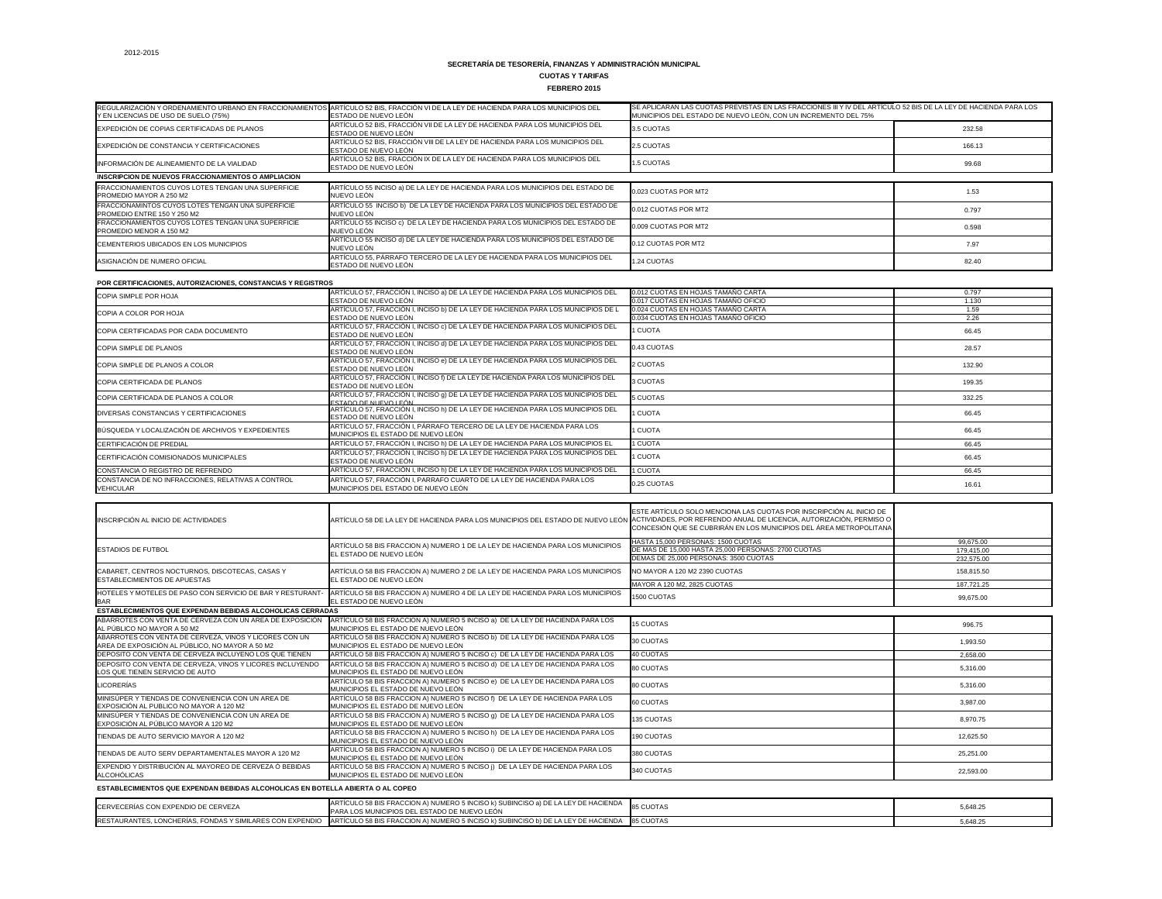**FEBRERO 2015**

|                                                                                         | REGULARIZACIÓN Y ORDENAMIENTO URBANO EN FRACCIONAMIENTOS ARTÍCULO 52 BIS, FRACCIÓN VI DE LA LEY DE HACIENDA PARA LOS MUNICIPIOS DEL | SE APLICARAN LAS CUOTAS PREVISTAS EN LAS FRACCIONES III Y IV DEL ARTÍCULO 52 BIS DE LA LEY DE HACIENDA PARA LOS |        |
|-----------------------------------------------------------------------------------------|-------------------------------------------------------------------------------------------------------------------------------------|-----------------------------------------------------------------------------------------------------------------|--------|
| Y EN LICENCIAS DE USO DE SUELO (75%)                                                    | <b>ESTADO DE NUEVO LEON</b>                                                                                                         | MUNICIPIOS DEL ESTADO DE NUEVO LEÓN, CON UN INCREMENTO DEL 75%                                                  |        |
| EXPEDICIÓN DE COPIAS CERTIFICADAS DE PLANOS                                             | ARTÍCULO 52 BIS, FRACCIÓN VII DE LA LEY DE HACIENDA PARA LOS MUNICIPIOS DEL<br>ESTADO DE NUEVO LEÓN                                 | 3.5 CUOTAS                                                                                                      | 232.58 |
| EXPEDICIÓN DE CONSTANCIA Y CERTIFICACIONES                                              | ARTÍCULO 52 BIS, FRACCIÓN VIII DE LA LEY DE HACIENDA PARA LOS MUNICIPIOS DEL<br>ESTADO DE NUEVO LEÓN                                | 2.5 CUOTAS                                                                                                      | 166.13 |
| INFORMACIÓN DE ALINEAMIENTO DE LA VIALIDAD                                              | ARTÍCULO 52 BIS, FRACCIÓN IX DE LA LEY DE HACIENDA PARA LOS MUNICIPIOS DEL<br>ESTADO DE NUEVO LEÓN                                  | 1.5 CUOTAS                                                                                                      | 99.68  |
| INSCRIPCION DE NUEVOS FRACCIONAMIENTOS O AMPLIACION                                     |                                                                                                                                     |                                                                                                                 |        |
| <b>FRACCIONAMIENTOS CUYOS LOTES TENGAN UNA SUPERFICIE</b><br>PROMEDIO MAYOR A 250 M2    | ARTÍCULO 55 INCISO a) DE LA LEY DE HACIENDA PARA LOS MUNICIPIOS DEL ESTADO DE<br>NUEVO LEÓN                                         | 0.023 CUOTAS POR MT2                                                                                            | 1.53   |
| FRACCIONAMINTOS CUYOS LOTES TENGAN UNA SUPERFICIE<br><b>PROMEDIO ENTRE 150 Y 250 M2</b> | ARTÍCULO 55 INCISO b) DE LA LEY DE HACIENDA PARA LOS MUNICIPIOS DEL ESTADO DE<br>NUEVO LEÓN                                         | 0.012 CUOTAS POR MT2                                                                                            | 0.797  |
| <b>FRACCIONAMIENTOS CUYOS LOTES TENGAN UNA SUPERFICIE</b><br>PROMEDIO MENOR A 150 M2    | ARTÍCULO 55 INCISO c) DE LA LEY DE HACIENDA PARA LOS MUNICIPIOS DEL ESTADO DE<br>NUEVO LEÓN                                         | 0.009 CUOTAS POR MT2                                                                                            | 0.598  |
| CEMENTERIOS UBICADOS EN LOS MUNICIPIOS                                                  | ARTÍCULO 55 INCISO d) DE LA LEY DE HACIENDA PARA LOS MUNICIPIOS DEL ESTADO DE<br>NUEVO LEÓN                                         | 0.12 CUOTAS POR MT2                                                                                             | 7.97   |
| ASIGNACIÓN DE NUMERO OFICIAL                                                            | ARTÍCULO 55, PÁRRAFO TERCERO DE LA LEY DE HACIENDA PARA LOS MUNICIPIOS DEL<br>ESTADO DE NUEVO LEÓN                                  | 1.24 CUOTAS                                                                                                     | 82.40  |

| PUR GERTIFICACIONES, AUTORIZACIONES, CONSTANGIAS T REGISTROS |                                                                                                                  |                                     |        |
|--------------------------------------------------------------|------------------------------------------------------------------------------------------------------------------|-------------------------------------|--------|
| COPIA SIMPLE POR HOJA                                        | ARTÍCULO 57, FRACCIÓN I, INCISO a) DE LA LEY DE HACIENDA PARA LOS MUNICIPIOS DEL                                 | 0.012 CUOTAS EN HOJAS TAMAÑO CARTA  | 0.797  |
|                                                              | ESTADO DE NUEVO LEÓN                                                                                             | 0.017 CUOTAS EN HOJAS TAMAÑO OFICIO | 1.130  |
| COPIA A COLOR POR HOJA                                       | ARTÍCULO 57, FRACCIÓN I, INCISO b) DE LA LEY DE HACIENDA PARA LOS MUNICIPIOS DE L                                | 0.024 CUOTAS EN HOJAS TAMAÑO CARTA  | 1.59   |
|                                                              | ESTADO DE NUEVO LEÓN                                                                                             | 0.034 CUOTAS EN HOJAS TAMAÑO OFICIO | 2.26   |
| COPIA CERTIFICADAS POR CADA DOCUMENTO                        | ARTÍCULO 57, FRACCIÓN I, INCISO c) DE LA LEY DE HACIENDA PARA LOS MUNICIPIOS DEL                                 | 1 CUOTA                             | 66.45  |
|                                                              | ESTADO DE NUEVO LEÓN                                                                                             |                                     |        |
| COPIA SIMPLE DE PLANOS                                       | ARTÍCULO 57, FRACCIÓN I, INCISO d) DE LA LEY DE HACIENDA PARA LOS MUNICIPIOS DEL                                 | 0.43 CUOTAS                         | 28.57  |
|                                                              | ESTADO DE NUEVO LEÓN                                                                                             |                                     |        |
| COPIA SIMPLE DE PLANOS A COLOR                               | ARTÍCULO 57, FRACCIÓN I, INCISO e) DE LA LEY DE HACIENDA PARA LOS MUNICIPIOS DEL                                 |                                     | 132.90 |
|                                                              | ESTADO DE NUEVO LEÓN                                                                                             | 2 CUOTAS<br>3 CUOTAS                |        |
| COPIA CERTIFICADA DE PLANOS                                  | ARTÍCULO 57, FRACCIÓN I, INCISO f) DE LA LEY DE HACIENDA PARA LOS MUNICIPIOS DEL                                 |                                     | 199.35 |
|                                                              | ESTADO DE NUEVO LEÓN                                                                                             |                                     |        |
| COPIA CERTIFICADA DE PLANOS A COLOR                          | ARTÍCULO 57, FRACCIÓN I, INCISO 9) DE LA LEY DE HACIENDA PARA LOS MUNICIPIOS DEL                                 | <b>5 CUOTAS</b>                     | 332.25 |
|                                                              | <u>ESTADO DE NUEVO LEÓN.</u><br>ARTÍCULO 57, FRACCIÓN I, INCISO h) DE LA LEY DE HACIENDA PARA LOS MUNICIPIOS DEL |                                     |        |
| DIVERSAS CONSTANCIAS Y CERTIFICACIONES                       | ESTADO DE NUEVO LEÓN                                                                                             | 1 CUOTA                             | 66.45  |
| BÚSQUEDA Y LOCALIZACIÓN DE ARCHIVOS Y EXPEDIENTES            | ARTÍCULO 57, FRACCIÓN I, PÁRRAFO TERCERO DE LA LEY DE HACIENDA PARA LOS                                          |                                     |        |
|                                                              | MUNICIPIOS EL ESTADO DE NUEVO LEÓN                                                                               | <b>CUOTA</b>                        | 66.45  |
| CERTIFICACIÓN DE PREDIAL                                     | ARTÍCULO 57, FRACCIÓN I, INCISO h) DE LA LEY DE HACIENDA PARA LOS MUNICIPIOS EL                                  | 1 CUOTA                             | 66.45  |
| CERTIFICACIÓN COMISIONADOS MUNICIPALES                       | ARTÍCULO 57, FRACCIÓN I, INCISO h) DE LA LEY DE HACIENDA PARA LOS MUNICIPIOS DEL                                 | 1 CUOTA                             | 66.45  |
|                                                              | ESTADO DE NUEVO LEÓN                                                                                             |                                     |        |
| CONSTANCIA O REGISTRO DE REFRENDO                            | ARTÍCULO 57, FRACCIÓN I, INCISO h) DE LA LEY DE HACIENDA PARA LOS MUNICIPIOS DEL                                 | 1 CUOTA                             | 66.45  |
| CONSTANCIA DE NO INFRACCIONES, RELATIVAS A CONTROL           | ARTÍCULO 57, FRACCIÓN I, PARRAFO CUARTO DE LA LEY DE HACIENDA PARA LOS                                           | 0.25 CUOTAS                         | 16.61  |
| <b>VEHICULAR</b>                                             | MUNICIPIOS DEL ESTADO DE NUEVO LEÓN                                                                              |                                     |        |

| INSCRIPCIÓN AL INICIO DE ACTIVIDADES                                                                      | ARTÍCULO 58 DE LA LEY DE HACIENDA PARA LOS MUNICIPIOS DEL ESTADO DE NUEVO LEÓN ACTIVIDADES, POR REFRENDO ANUAL DE LICENCIA, AUTORIZACIÓN, PERMISO O | ESTE ARTÍCULO SOLO MENCIONA LAS CUOTAS POR INSCRIPCIÓN AL INICIO DE<br>CONCESIÓN QUE SE CUBRIRÁN EN LOS MUNICIPIOS DEL ÁREA METROPOLITANA |                          |
|-----------------------------------------------------------------------------------------------------------|-----------------------------------------------------------------------------------------------------------------------------------------------------|-------------------------------------------------------------------------------------------------------------------------------------------|--------------------------|
|                                                                                                           | ARTÍCULO 58 BIS FRACCION A) NUMERO 1 DE LA LEY DE HACIENDA PARA LOS MUNICIPIOS                                                                      | HASTA 15,000 PERSONAS: 1500 CUOTAS                                                                                                        | 99.675.00                |
| <b>ESTADIOS DE FUTBOL</b>                                                                                 | EL ESTADO DE NUEVO LEÓN                                                                                                                             | DE MAS DE 15,000 HASTA 25,000 PERSONAS: 2700 CUOTAS<br>DEMAS DE 25,000 PERSONAS: 3500 CUOTAS                                              | 179,415.00<br>232,575.00 |
| CABARET, CENTROS NOCTURNOS, DISCOTECAS, CASAS Y<br><b>ESTABLECIMIENTOS DE APUESTAS</b>                    | ARTÍCULO 58 BIS FRACCION A) NUMERO 2 DE LA LEY DE HACIENDA PARA LOS MUNICIPIOS<br>EL ESTADO DE NUEVO LEÓN                                           | NO MAYOR A 120 M2 2390 CUOTAS                                                                                                             | 158,815.50               |
|                                                                                                           |                                                                                                                                                     | MAYOR A 120 M2, 2825 CUOTAS                                                                                                               | 187,721.25               |
| HOTELES Y MOTELES DE PASO CON SERVICIO DE BAR Y RESTURANT-<br><b>BAR</b>                                  | ARTÍCULO 58 BIS FRACCION A) NUMERO 4 DE LA LEY DE HACIENDA PARA LOS MUNICIPIOS<br>EL ESTADO DE NUEVO LEÓN                                           | 1500 CUOTAS                                                                                                                               | 99,675.00                |
| <b>ESTABLECIMIENTOS QUE EXPENDAN BEBIDAS ALCOHOLICAS CERRADAS</b>                                         |                                                                                                                                                     |                                                                                                                                           |                          |
| ABARROTES CON VENTA DE CERVEZA CON UN AREA DE EXPOSICIÓN<br>AL PÚBLICO NO MAYOR A 50 M2                   | ARTÍCULO 58 BIS FRACCION A) NUMERO 5 INCISO a) DE LA LEY DE HACIENDA PARA LOS<br>MUNICIPIOS EL ESTADO DE NUEVO LEÓN                                 | <b>15 CUOTAS</b>                                                                                                                          | 996.75                   |
| ABARROTES CON VENTA DE CERVEZA, VINOS Y LICORES CON UN<br>AREA DE EXPOSICIÓN AL PÚBLICO, NO MAYOR A 50 M2 | ARTÍCULO 58 BIS FRACCION A) NUMERO 5 INCISO b) DE LA LEY DE HACIENDA PARA LOS<br>MUNICIPIOS EL ESTADO DE NUEVO LEÓN                                 | 30 CUOTAS                                                                                                                                 | 1,993.50                 |
| DEPOSITO CON VENTA DE CERVEZA INCLUYENO LOS QUE TIENEN                                                    | ARTÍCULO 58 BIS FRACCION A) NUMERO 5 INCISO c) DE LA LEY DE HACIENDA PARA LOS                                                                       | <b>40 CUOTAS</b>                                                                                                                          | 2.658.00                 |
| DEPOSITO CON VENTA DE CERVEZA, VINOS Y LICORES INCLUYENDO<br>LOS QUE TIENEN SERVICIO DE AUTO              | ARTÍCULO 58 BIS FRACCION A) NUMERO 5 INCISO d) DE LA LEY DE HACIENDA PARA LOS<br>MUNICIPIOS EL ESTADO DE NUEVO LEÓN                                 | 80 CUOTAS                                                                                                                                 | 5.316.00                 |
| <b>LICORERÍAS</b>                                                                                         | ARTÍCULO 58 BIS FRACCION A) NUMERO 5 INCISO e) DE LA LEY DE HACIENDA PARA LOS<br>MUNICIPIOS EL ESTADO DE NUEVO LEÓN                                 | 80 CUOTAS                                                                                                                                 | 5,316.00                 |
| MINISÚPER Y TIENDAS DE CONVENIENCIA CON UN AREA DE<br>EXPOSICIÓN AL PUBLICO NO MAYOR A 120 M2             | ARTÍCULO 58 BIS FRACCION A) NUMERO 5 INCISO f) DE LA LEY DE HACIENDA PARA LOS<br>MUNICIPIOS EL ESTADO DE NUEVO LEÓN                                 | 60 CUOTAS                                                                                                                                 | 3,987.00                 |
| MINISÚPER Y TIENDAS DE CONVENIENCIA CON UN AREA DE<br>EXPOSICIÓN AL PÚBLICO MAYOR A 120 M2                | ARTÍCULO 58 BIS FRACCION A) NUMERO 5 INCISO 9) DE LA LEY DE HACIENDA PARA LOS<br>MUNICIPIOS EL ESTADO DE NUEVO LEÓN                                 | <b>135 CUOTAS</b>                                                                                                                         | 8,970.75                 |
| TIENDAS DE AUTO SERVICIO MAYOR A 120 M2                                                                   | ARTÍCULO 58 BIS FRACCION A) NUMERO 5 INCISO h) DE LA LEY DE HACIENDA PARA LOS<br>MUNICIPIOS EL ESTADO DE NUEVO LEÓN                                 | <b>190 CUOTAS</b>                                                                                                                         | 12,625.50                |
| TIENDAS DE AUTO SERV DEPARTAMENTALES MAYOR A 120 M2                                                       | ARTÍCULO 58 BIS FRACCION A) NUMERO 5 INCISO i) DE LA LEY DE HACIENDA PARA LOS<br>MUNICIPIOS EL ESTADO DE NUEVO LEÓN                                 | 380 CUOTAS                                                                                                                                | 25,251.00                |
| EXPENDIO Y DISTRIBUCIÓN AL MAYOREO DE CERVEZA Ó BEBIDAS<br><b>ALCOHÓLICAS</b>                             | ARTÍCULO 58 BIS FRACCION A) NUMERO 5 INCISO j) DE LA LEY DE HACIENDA PARA LOS<br>MUNICIPIOS EL ESTADO DE NUEVO LEÓN                                 | 340 CUOTAS                                                                                                                                | 22,593.00                |
| ESTABLECIMIENTOS QUE EXPENDAN BEBIDAS ALCOHOLICAS EN BOTELLA ABIERTA O AL COPEO                           |                                                                                                                                                     |                                                                                                                                           |                          |
| CERVECERÍAS CON EXPENDIO DE CERVEZA                                                                       | ARTÍCULO 58 BIS FRACCION A) NUMERO 5 INCISO k) SUBINCISO a) DE LA LEY DE HACIENDA<br>PARA LOS MUNICIPIOS DEL ESTADO DE NUEVO LEÓN                   | <b>85 CUOTAS</b>                                                                                                                          | 5,648.25                 |
| RESTAURANTES, LONCHERÍAS, FONDAS Y SIMILARES CON EXPENDIO                                                 | ARTÍCULO 58 BIS FRACCION A) NUMERO 5 INCISO k) SUBINCISO b) DE LA LEY DE HACIENDA                                                                   | <b>85 CUOTAS</b>                                                                                                                          | 5.648.25                 |

| <b>POR CERTIFICACIONES, AUTORIZACIONES, CONSTANCIAS Y REGISTROS</b> |  |  |
|---------------------------------------------------------------------|--|--|
|                                                                     |  |  |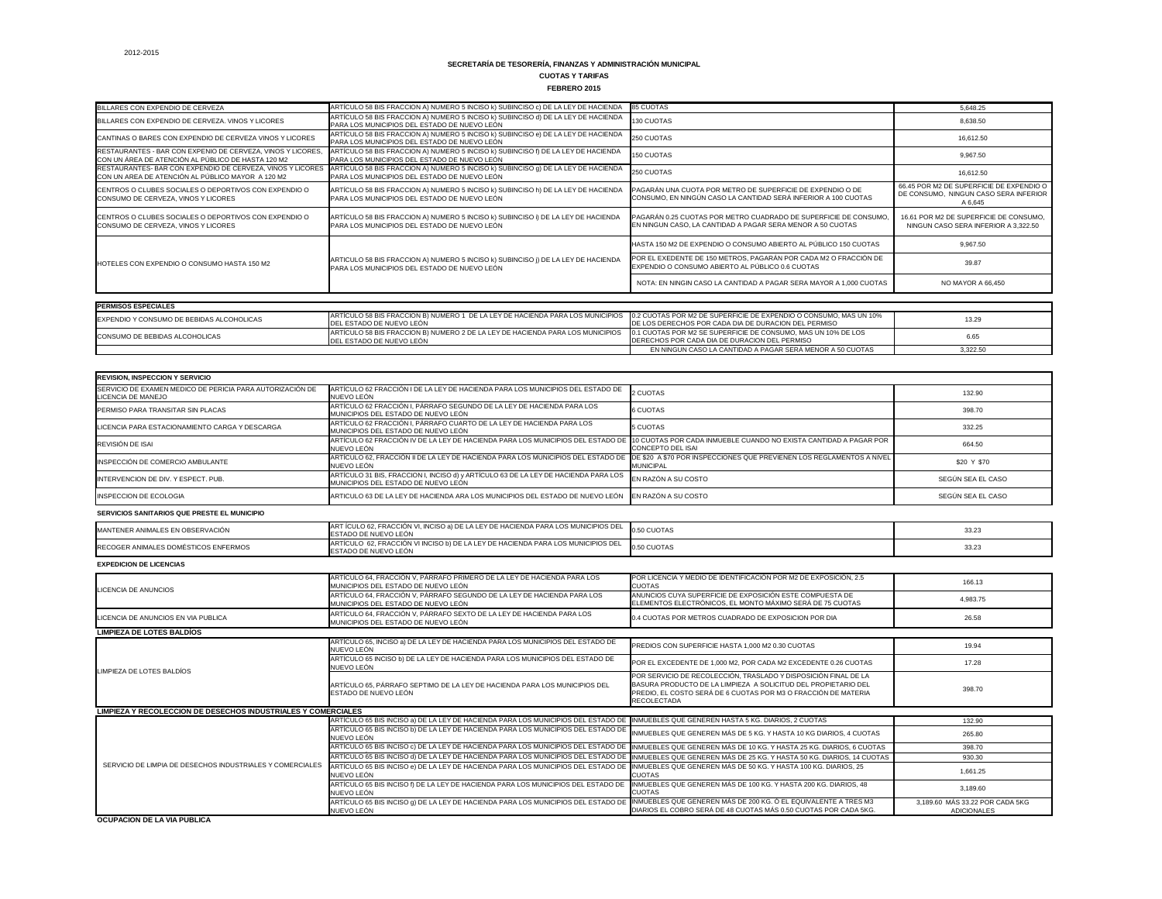**FEBRERO 2015**

| BILLARES CON EXPENDIO DE CERVEZA                                                                                  | ARTÍCULO 58 BIS FRACCION A) NUMERO 5 INCISO k) SUBINCISO c) DE LA LEY DE HACIENDA                                                 | <b>85 CUOTAS</b>                                                                                                               | 5,648.25                                                                                     |
|-------------------------------------------------------------------------------------------------------------------|-----------------------------------------------------------------------------------------------------------------------------------|--------------------------------------------------------------------------------------------------------------------------------|----------------------------------------------------------------------------------------------|
| BILLARES CON EXPENDIO DE CERVEZA. VINOS Y LICORES                                                                 | ARTÍCULO 58 BIS FRACCION A) NUMERO 5 INCISO k) SUBINCISO d) DE LA LEY DE HACIENDA<br>PARA LOS MUNICIPIOS DEL ESTADO DE NUEVO LEÓN | 130 CUOTAS                                                                                                                     | 8,638.50                                                                                     |
| CANTINAS O BARES CON EXPENDIO DE CERVEZA VINOS Y LICORES                                                          | ARTÍCULO 58 BIS FRACCION A) NUMERO 5 INCISO k) SUBINCISO e) DE LA LEY DE HACIENDA<br>PARA LOS MUNICIPIOS DEL ESTADO DE NUEVO LEÓN | 250 CUOTAS                                                                                                                     | 16.612.50                                                                                    |
| RESTAURANTES - BAR CON EXPENIO DE CERVEZA, VINOS Y LICORES,<br>CON UN ÁREA DE ATENCIÓN AL PÚBLICO DE HASTA 120 M2 | ARTÍCULO 58 BIS FRACCION A) NUMERO 5 INCISO k) SUBINCISO f) DE LA LEY DE HACIENDA<br>PARA LOS MUNICIPIOS DEL ESTADO DE NUEVO LEÓN | 150 CUOTAS                                                                                                                     | 9,967.50                                                                                     |
| RESTAURANTES- BAR CON EXPENDIO DE CERVEZA, VINOS Y LICORES<br>CON UN AREA DE ATENCIÓN AL PÚBLICO MAYOR A 120 M2   | ARTÍCULO 58 BIS FRACCION A) NUMERO 5 INCISO K) SUBINCISO 9) DE LA LEY DE HACIENDA<br>PARA LOS MUNICIPIOS DEL ESTADO DE NUEVO LEÓN | 250 CUOTAS                                                                                                                     | 16,612.50                                                                                    |
| CENTROS O CLUBES SOCIALES O DEPORTIVOS CON EXPENDIO O<br>CONSUMO DE CERVEZA, VINOS Y LICORES                      | ARTÍCULO 58 BIS FRACCION A) NUMERO 5 INCISO k) SUBINCISO h) DE LA LEY DE HACIENDA<br>PARA LOS MUNICIPIOS DEL ESTADO DE NUEVO LEÓN | PAGARÁN UNA CUOTA POR METRO DE SUPERFICIE DE EXPENDIO O DE<br>CONSUMO, EN NINGÚN CASO LA CANTIDAD SERÁ INFERIOR A 100 CUOTAS   | 66.45 POR M2 DE SUPERFICIE DE EXPENDIO O<br>DE CONSUMO, NINGUN CASO SERA INFERIOR<br>A 6,645 |
| CENTROS O CLUBES SOCIALES O DEPORTIVOS CON EXPENDIO O<br>CONSUMO DE CERVEZA, VINOS Y LICORES                      | ARTÍCULO 58 BIS FRACCION A) NUMERO 5 INCISO k) SUBINCISO i) DE LA LEY DE HACIENDA<br>PARA LOS MUNICIPIOS DEL ESTADO DE NUEVO LEÓN | PAGARÁN 0.25 CUOTAS POR METRO CUADRADO DE SUPERFICIE DE CONSUMO,<br>EN NINGUN CASO, LA CANTIDAD A PAGAR SERA MENOR A 50 CUOTAS | 16.61 POR M2 DE SUPERFICIE DE CONSUMO<br>NINGUN CASO SERA INFERIOR A 3.322.50                |
|                                                                                                                   |                                                                                                                                   | HASTA 150 M2 DE EXPENDIO O CONSUMO ABIERTO AL PÚBLICO 150 CUOTAS                                                               | 9,967.50                                                                                     |
| HOTELES CON EXPENDIO O CONSUMO HASTA 150 M2                                                                       | ARTICULO 58 BIS FRACCION A) NUMERO 5 INCISO k) SUBINCISO j) DE LA LEY DE HACIENDA<br>PARA LOS MUNICIPIOS DEL ESTADO DE NUEVO LEÓN | POR EL EXEDENTE DE 150 METROS, PAGARÁN POR CADA M2 O FRACCIÓN DE<br>EXPENDIO O CONSUMO ABIERTO AL PÚBLICO 0.6 CUOTAS           | 39.87                                                                                        |
|                                                                                                                   |                                                                                                                                   | NOTA: EN NINGIN CASO LA CANTIDAD A PAGAR SERA MAYOR A 1.000 CUOTAS                                                             | NO MAYOR A 66.450                                                                            |
|                                                                                                                   |                                                                                                                                   |                                                                                                                                |                                                                                              |
| <b>PERMISOS ESPECIALES</b>                                                                                        |                                                                                                                                   |                                                                                                                                |                                                                                              |
| EXPENDIO Y CONSUMO DE BEBIDAS ALCOHOLICAS                                                                         | ARTÍCULO 58 BIS FRACCION B) NUMERO 1 DE LA LEY DE HACIENDA PARA LOS MUNICIPIOS<br>DEL ESTADO DE NUEVO LEÓN                        | 0.2 CUOTAS POR M2 DE SUPERFICIE DE EXPENDIO O CONSUMO. MAS UN 10%<br>DE LOS DERECHOS POR CADA DIA DE DURACION DEL PERMISO      | 13.29                                                                                        |
| CONSUMO DE BEBIDAS ALCOHOLICAS                                                                                    | ARTÍCULO 58 BIS FRACCION B) NUMERO 2 DE LA LEY DE HACIENDA PARA LOS MUNICIPIOS<br><b>IDEL ESTADO DE NUEVO LEÓN</b>                | 0.1 CUOTAS POR M2 SE SUPERFICIE DE CONSUMO, MAS UN 10% DE LOS<br>DERECHOS POR CADA DIA DE DURACION DEL PERMISO                 | 6.65                                                                                         |
|                                                                                                                   |                                                                                                                                   | EN NINGUN CASO LA CANTIDAD A PAGAR SERÁ MENOR A 50 CUOTAS                                                                      | 3.322.50                                                                                     |

| <b>REVISION, INSPECCION Y SERVICIO</b>                               |                                                                                                                                                                                                                                         |                                                                                                                                                                                                                           |                                                       |
|----------------------------------------------------------------------|-----------------------------------------------------------------------------------------------------------------------------------------------------------------------------------------------------------------------------------------|---------------------------------------------------------------------------------------------------------------------------------------------------------------------------------------------------------------------------|-------------------------------------------------------|
| SERVICIO DE EXAMEN MEDICO DE PERICIA PARA AUTORIZACIÓN DE            | ARTÍCULO 62 FRACCIÓN I DE LA LEY DE HACIENDA PARA LOS MUNICIPIOS DEL ESTADO DE                                                                                                                                                          |                                                                                                                                                                                                                           |                                                       |
| LICENCIA DE MANEJO                                                   | NUEVO LEÓN                                                                                                                                                                                                                              | 2 CUOTAS                                                                                                                                                                                                                  | 132.90                                                |
| PERMISO PARA TRANSITAR SIN PLACAS                                    | ARTÍCULO 62 FRACCIÓN I, PÁRRAFO SEGUNDO DE LA LEY DE HACIENDA PARA LOS<br>MUNICIPIOS DEL ESTADO DE NUEVO LEÓN                                                                                                                           | <b>6 CUOTAS</b>                                                                                                                                                                                                           | 398.70                                                |
| LICENCIA PARA ESTACIONAMIENTO CARGA Y DESCARGA                       | ARTÍCULO 62 FRACCIÓN I, PÁRRAFO CUARTO DE LA LEY DE HACIENDA PARA LOS<br>MUNICIPIOS DEL ESTADO DE NUEVO LEÓN                                                                                                                            | <b>5 CUOTAS</b>                                                                                                                                                                                                           | 332.25                                                |
| REVISIÓN DE ISAI                                                     | ARTÍCULO 62 FRACCIÓN IV DE LA LEY DE HACIENDA PARA LOS MUNICIPIOS DEL ESTADO DE 10 CUOTAS POR CADA INMUEBLE CUANDO NO EXISTA CANTIDAD A PAGAR POR<br>NUEVO LEÓN                                                                         | <b>CONCEPTO DEL ISAI</b>                                                                                                                                                                                                  | 664.50                                                |
| INSPECCIÓN DE COMERCIO AMBULANTE                                     | ARTÍCULO 62, FRACCIÓN II DE LA LEY DE HACIENDA PARA LOS MUNICIPIOS DEL ESTADO DE<br>NUEVO LEÓN                                                                                                                                          | DE \$20 A \$70 POR INSPECCIONES QUE PREVIENEN LOS REGLAMENTOS A NIVEL<br><b>MUNICIPAL</b>                                                                                                                                 | \$20 Y \$70                                           |
| INTERVENCION DE DIV. Y ESPECT. PUB.                                  | ARTÍCULO 31 BIS, FRACCION I, INCISO d) y ARTÍCULO 63 DE LA LEY DE HACIENDA PARA LOS<br>MUNICIPIOS DEL ESTADO DE NUEVO LEÓN                                                                                                              | EN RAZÓN A SU COSTO                                                                                                                                                                                                       | SEGÚN SEA EL CASO                                     |
| <b>INSPECCION DE ECOLOGIA</b>                                        | EN RAZÓN A SU COSTO<br>ARTICULO 63 DE LA LEY DE HACIENDA ARA LOS MUNICIPIOS DEL ESTADO DE NUEVO LEÓN                                                                                                                                    |                                                                                                                                                                                                                           | SEGÚN SEA EL CASO                                     |
| SERVICIOS SANITARIOS QUE PRESTE EL MUNICIPIO                         |                                                                                                                                                                                                                                         |                                                                                                                                                                                                                           |                                                       |
| MANTENER ANIMALES EN OBSERVACIÓN                                     | ART ÍCULO 62, FRACCIÓN VI, INCISO a) DE LA LEY DE HACIENDA PARA LOS MUNICIPIOS DEL<br>ESTADO DE NUEVO LEÓN                                                                                                                              | 0.50 CUOTAS                                                                                                                                                                                                               | 33.23                                                 |
| RECOGER ANIMALES DOMÉSTICOS ENFERMOS                                 | ARTÍCULO 62, FRACCIÓN VI INCISO b) DE LA LEY DE HACIENDA PARA LOS MUNICIPIOS DEL<br>ESTADO DE NUEVO LEÓN                                                                                                                                | 0.50 CUOTAS                                                                                                                                                                                                               | 33.23                                                 |
| <b>EXPEDICION DE LICENCIAS</b>                                       |                                                                                                                                                                                                                                         |                                                                                                                                                                                                                           |                                                       |
|                                                                      | ARTÍCULO 64, FRACCIÓN V, PÁRRAFO PRIMERO DE LA LEY DE HACIENDA PARA LOS<br>MUNICIPIOS DEL ESTADO DE NUEVO LEÓN                                                                                                                          | POR LICENCIA Y MEDIO DE IDENTIFICACIÓN POR M2 DE EXPOSICIÓN, 2.5<br><b>CUOTAS</b>                                                                                                                                         | 166.13                                                |
| LICENCIA DE ANUNCIOS                                                 | ANUNCIOS CUYA SUPERFICIE DE EXPOSICIÓN ESTE COMPUESTA DE<br>ARTÍCULO 64, FRACCIÓN V, PÁRRAFO SEGUNDO DE LA LEY DE HACIENDA PARA LOS<br>ELEMENTOS ELECTRÓNICOS, EL MONTO MÁXIMO SERÁ DE 75 CUOTAS<br>MUNICIPIOS DEL ESTADO DE NUEVO LEÓN | 4,983.75                                                                                                                                                                                                                  |                                                       |
| LICENCIA DE ANUNCIOS EN VIA PUBLICA                                  | ARTÍCULO 64, FRACCIÓN V, PÁRRAFO SEXTO DE LA LEY DE HACIENDA PARA LOS<br>MUNICIPIOS DEL ESTADO DE NUEVO LEÓN                                                                                                                            | 0.4 CUOTAS POR METROS CUADRADO DE EXPOSICION POR DIA                                                                                                                                                                      | 26.58                                                 |
| <b>LIMPIEZA DE LOTES BALDÍOS</b>                                     |                                                                                                                                                                                                                                         |                                                                                                                                                                                                                           |                                                       |
|                                                                      | ARTÍCULO 65, INCISO a) DE LA LEY DE HACIENDA PARA LOS MUNICIPIOS DEL ESTADO DE<br>NUEVO LEÓN                                                                                                                                            | PREDIOS CON SUPERFICIE HASTA 1,000 M2 0.30 CUOTAS                                                                                                                                                                         | 19.94                                                 |
|                                                                      | ARTÍCULO 65 INCISO b) DE LA LEY DE HACIENDA PARA LOS MUNICIPIOS DEL ESTADO DE<br>NUEVO LEÓN                                                                                                                                             | POR EL EXCEDENTE DE 1,000 M2, POR CADA M2 EXCEDENTE 0.26 CUOTAS                                                                                                                                                           | 17.28                                                 |
| LIMPIEZA DE LOTES BALDÍOS                                            | ARTÍCULO 65, PÁRRAFO SEPTIMO DE LA LEY DE HACIENDA PARA LOS MUNICIPIOS DEL<br>ESTADO DE NUEVO LEÓN                                                                                                                                      | POR SERVICIO DE RECOLECCIÓN, TRASLADO Y DISPOSICIÓN FINAL DE LA<br>BASURA PRODUCTO DE LA LIMPIEZA A SOLICITUD DEL PROPIETARIO DEL<br>PREDIO, EL COSTO SERÁ DE 6 CUOTAS POR M3 O FRACCIÓN DE MATERIA<br><b>RECOLECTADA</b> | 398.70                                                |
| <b>LIMPIEZA Y RECOLECCION DE DESECHOS INDUSTRIALES Y COMERCIALES</b> |                                                                                                                                                                                                                                         |                                                                                                                                                                                                                           |                                                       |
|                                                                      | ARTÍCULO 65 BIS INCISO a) DE LA LEY DE HACIENDA PARA LOS MUNICIPIOS DEL ESTADO DE INMUEBLES QUE GENEREN HASTA 5 KG. DIARIOS, 2 CUOTAS                                                                                                   |                                                                                                                                                                                                                           | 132.90                                                |
|                                                                      | ARTÍCULO 65 BIS INCISO b) DE LA LEY DE HACIENDA PARA LOS MUNICIPIOS DEL ESTADO DE<br>NUEVO LEÓN                                                                                                                                         | NMUEBLES QUE GENEREN MÁS DE 5 KG. Y HASTA 10 KG DIARIOS, 4 CUOTAS                                                                                                                                                         | 265.80                                                |
|                                                                      | ARTÍCULO 65 BIS INCISO c) DE LA LEY DE HACIENDA PARA LOS MUNICIPIOS DEL ESTADO DE INMUEBLES QUE GENEREN MÁS DE 10 KG. Y HASTA 25 KG. DIARIOS, 6 CUOTAS                                                                                  |                                                                                                                                                                                                                           | 398.70                                                |
|                                                                      | ARTÍCULO 65 BIS INCISO d) DE LA LEY DE HACIENDA PARA LOS MUNICIPIOS DEL ESTADO DE INMUEBLES QUE GENEREN MÁS DE 25 KG. Y HASTA 50 KG. DIARIOS, 14 CUOTAS                                                                                 |                                                                                                                                                                                                                           | 930.30                                                |
| SERVICIO DE LIMPIA DE DESECHOS INDUSTRIALES Y COMERCIALES            | ARTÍCULO 65 BIS INCISO e) DE LA LEY DE HACIENDA PARA LOS MUNICIPIOS DEL ESTADO DE <b>I</b> INMUEBLES QUE GENEREN MÁS DE 50 KG. Y HASTA 100 KG. DIARIOS, 25<br>NUEVO LEÓN                                                                | <b>CUOTAS</b>                                                                                                                                                                                                             | 1,661.25                                              |
|                                                                      | ARTÍCULO 65 BIS INCISO f) DE LA LEY DE HACIENDA PARA LOS MUNICIPIOS DEL ESTADO DE<br>NUEVO LEÓN                                                                                                                                         | INMUEBLES QUE GENEREN MÁS DE 100 KG. Y HASTA 200 KG. DIARIOS, 48<br><b>CUOTAS</b>                                                                                                                                         | 3,189.60                                              |
|                                                                      | ARTÍCULO 65 BIS INCISO g) DE LA LEY DE HACIENDA PARA LOS MUNICIPIOS DEL ESTADO DE<br>NUEVO LEÓN                                                                                                                                         | : ∥INMUEBLES QUE GENEREN MÁS DE 200 KG. Ó EL EQUIVALENTE A TRES M3<br>DIARIOS EL COBRO SERÁ DE 48 CUOTAS MÁS 0.50 CUOTAS POR CADA 5KG.                                                                                    | 3,189.60 MÁS 33.22 POR CADA 5KG<br><b>ADICIONALES</b> |

**OCUPACION DE LA VIA PUBLICA**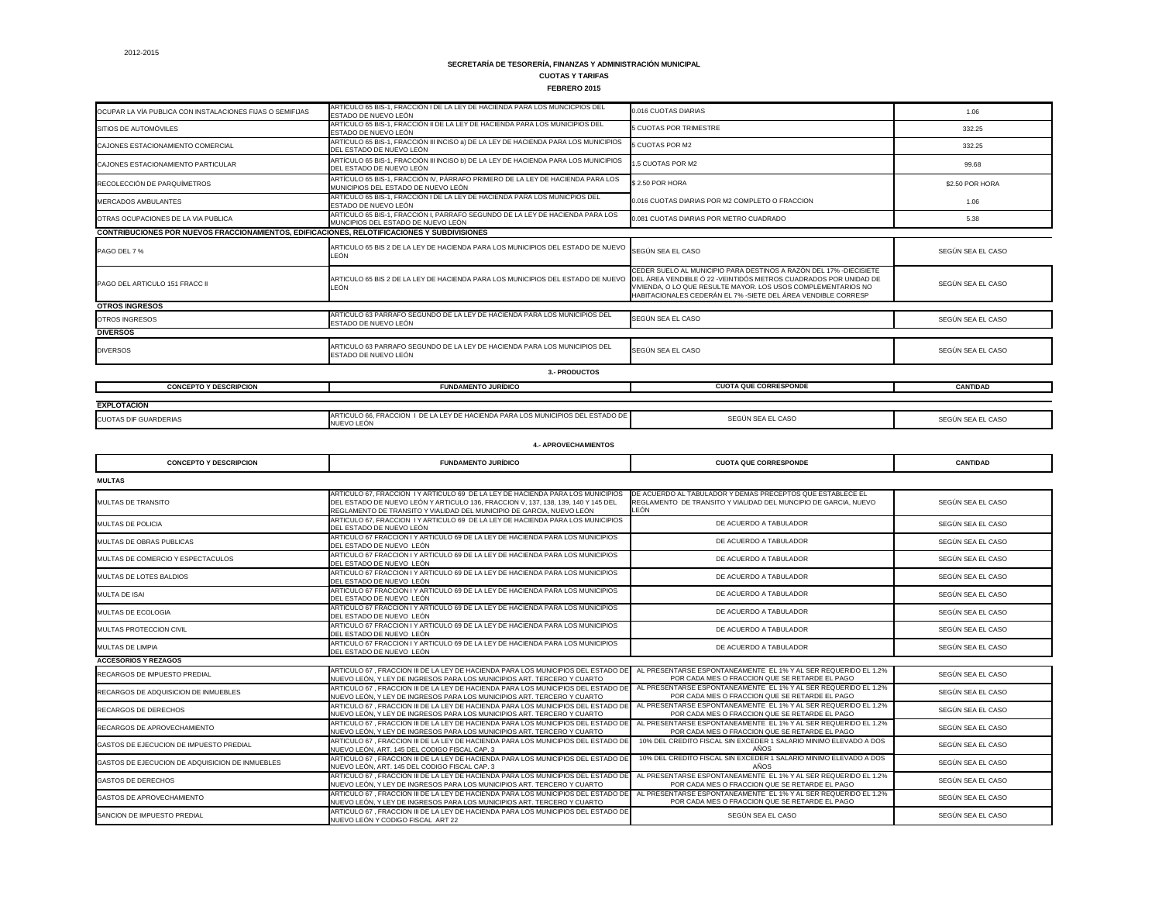**FEBRERO 2015**

| <b>EXPLUTAGION</b>                     |                                                                                                                                 |  |
|----------------------------------------|---------------------------------------------------------------------------------------------------------------------------------|--|
| <b>CUOTAS DIF</b><br><b>GUARDERIAS</b> | LOS MUNICIPIOS DEL ESTADO DE<br>FRACCION<br>ARTICULO 66.<br>– ∩E L<br>A LEY DE HACIENDA PARA L<br>$\overline{a}$<br>INUEVO LEÓN |  |
|                                        |                                                                                                                                 |  |

| OCUPAR LA VÍA PUBLICA CON INSTALACIONES FIJAS O SEMIFIJAS                                          | ARTÍCULO 65 BIS-1, FRACCIÓN I DE LA LEY DE HACIENDA PARA LOS MUNCICPIOS DEL<br>ESTADO DE NUEVO LEÓN                   | 0.016 CUOTAS DIARIAS                                                                                                                                                                                                                                                      | 1.06              |
|----------------------------------------------------------------------------------------------------|-----------------------------------------------------------------------------------------------------------------------|---------------------------------------------------------------------------------------------------------------------------------------------------------------------------------------------------------------------------------------------------------------------------|-------------------|
| SITIOS DE AUTOMÓVILES                                                                              | ARTÍCULO 65 BIS-1, FRACCIÓN II DE LA LEY DE HACIENDA PARA LOS MUNICIPIOS DEL<br>ESTADO DE NUEVO LEÓN                  | <b>5 CUOTAS POR TRIMESTRE</b>                                                                                                                                                                                                                                             | 332.25            |
| CAJONES ESTACIONAMIENTO COMERCIAL                                                                  | ARTÍCULO 65 BIS-1, FRACCIÓN III INCISO a) DE LA LEY DE HACIENDA PARA LOS MUNICIPIOS<br>DEL ESTADO DE NUEVO LEÓN       | 5 CUOTAS POR M2                                                                                                                                                                                                                                                           | 332.25            |
| CAJONES ESTACIONAMIENTO PARTICULAR                                                                 | ARTÍCULO 65 BIS-1, FRACCIÓN III INCISO b) DE LA LEY DE HACIENDA PARA LOS MUNICIPIOS<br>DEL ESTADO DE NUEVO LEÓN       | 1.5 CUOTAS POR M2                                                                                                                                                                                                                                                         | 99.68             |
| RECOLECCIÓN DE PARQUÍMETROS                                                                        | ARTÍCULO 65 BIS-1, FRACCIÓN IV, PÁRRAFO PRIMERO DE LA LEY DE HACIENDA PARA LOS<br>MUNICIPIOS DEL ESTADO DE NUEVO LEÓN | \$2.50 POR HORA                                                                                                                                                                                                                                                           | \$2.50 POR HORA   |
| <b>MERCADOS AMBULANTES</b>                                                                         | ARTÍCULO 65 BIS-1, FRACCIÓN I DE LA LEY DE HACIENDA PARA LOS MUNICPIOS DEL<br>ESTADO DE NUEVO LEÓN                    | 0.016 CUOTAS DIARIAS POR M2 COMPLETO O FRACCION                                                                                                                                                                                                                           | 1.06              |
| OTRAS OCUPACIONES DE LA VIA PUBLICA                                                                | ARTÍCULO 65 BIS-1, FRACCIÓN I, PÁRRAFO SEGUNDO DE LA LEY DE HACIENDA PARA LOS<br>MUNCIPIOS DEL ESTADO DE NUEVO LEÓN   | 0.081 CUOTAS DIARIAS POR METRO CUADRADO                                                                                                                                                                                                                                   | 5.38              |
| <b>CONTRIBUCIONES POR NUEVOS FRACCIONAMIENTOS, EDIFICACIONES, RELOTIFICACIONES Y SUBDIVISIONES</b> |                                                                                                                       |                                                                                                                                                                                                                                                                           |                   |
| PAGO DEL 7 %                                                                                       | ARTICULO 65 BIS 2 DE LA LEY DE HACIENDA PARA LOS MUNICIPIOS DEL ESTADO DE NUEVO<br>LEÓN                               | SEGÚN SEA EL CASO                                                                                                                                                                                                                                                         | SEGÚN SEA EL CASO |
| <b>PAGO DEL ARTICULO 151 FRACC II</b>                                                              | ARTICULO 65 BIS 2 DE LA LEY DE HACIENDA PARA LOS MUNICIPIOS DEL ESTADO DE NUEVO<br>LEÓN                               | CEDER SUELO AL MUNICIPIO PARA DESTINOS A RAZÓN DEL 17% -DIECISIETE<br>DEL ÁREA VENDIBLE Ó 22 - VEINTIDÓS METROS CUADRADOS POR UNIDAD DE<br>VIVIENDA, O LO QUE RESULTE MAYOR. LOS USOS COMPLEMENTARIOS NO<br>HABITACIONALES CEDERÁN EL 7% -SIETE DEL ÁREA VENDIBLE CORRESP | SEGÚN SEA EL CASO |
| <b>OTROS INGRESOS</b>                                                                              |                                                                                                                       |                                                                                                                                                                                                                                                                           |                   |
| OTROS INGRESOS                                                                                     | ARTICULO 63 PARRAFO SEGUNDO DE LA LEY DE HACIENDA PARA LOS MUNICIPIOS DEL<br>ESTADO DE NUEVO LEÓN                     | SEGÚN SEA EL CASO                                                                                                                                                                                                                                                         | SEGÚN SEA EL CASO |
| <b>DIVERSOS</b>                                                                                    |                                                                                                                       |                                                                                                                                                                                                                                                                           |                   |
| <b>DIVERSOS</b>                                                                                    | ARTICULO 63 PARRAFO SEGUNDO DE LA LEY DE HACIENDA PARA LOS MUNICIPIOS DEL<br>ESTADO DE NUEVO LEÓN                     | SEGÚN SEA EL CASO                                                                                                                                                                                                                                                         | SEGÚN SEA EL CASO |
|                                                                                                    | <b>3.- PRODUCTOS</b>                                                                                                  |                                                                                                                                                                                                                                                                           |                   |
| <b>CONCEPTO Y DESCRIPCION</b>                                                                      | <b>FUNDAMENTO JURÍDICO</b>                                                                                            | <b>CUOTA QUE CORRESPONDE</b>                                                                                                                                                                                                                                              | <b>CANTIDAD</b>   |
|                                                                                                    |                                                                                                                       |                                                                                                                                                                                                                                                                           |                   |
| <b>EXPLOTACION</b>                                                                                 |                                                                                                                       |                                                                                                                                                                                                                                                                           |                   |
| <b>CUOTAS DIF GUARDERIAS</b>                                                                       | ARTICULO 66. FRACCION I DE LA LEY DE HACIENDA PARA LOS MUNICIPIOS DEL ESTADO DE<br>NUEVO LEÓN                         | SEGÚN SEA EL CASO                                                                                                                                                                                                                                                         | SEGÚN SEA EL CASO |

| <b>CONCEPTO Y DESCRIPCION</b>                   | <b>FUNDAMENTO JURÍDICO</b>                                                                                                                                                                                                                    | <b>CUOTA QUE CORRESPONDE</b>                                                                                                          | <b>CANTIDAD</b>   |
|-------------------------------------------------|-----------------------------------------------------------------------------------------------------------------------------------------------------------------------------------------------------------------------------------------------|---------------------------------------------------------------------------------------------------------------------------------------|-------------------|
| <b>MULTAS</b>                                   |                                                                                                                                                                                                                                               |                                                                                                                                       |                   |
| MULTAS DE TRANSITO                              | ARTICULO 67, FRACCION I Y ARTICULO 69 DE LA LEY DE HACIENDA PARA LOS MUNICIPIOS<br>DEL ESTADO DE NUEVO LEÓN Y ARTICULO 136, FRACCION V, 137, 138, 139, 140 Y 145 DEL<br>REGLAMENTO DE TRANSITO Y VIALIDAD DEL MUNICIPIO DE GARCIA, NUEVO LEÓN | DE ACUERDO AL TABULADOR Y DEMAS PRECEPTOS QUE ESTABLECE EL<br>REGLAMENTO DE TRANSITO Y VIALIDAD DEL MUNCIPIO DE GARCIA, NUEVO<br>LEÓN | SEGÚN SEA EL CASO |
| <b>MULTAS DE POLICIA</b>                        | ARTICULO 67, FRACCION I Y ARTICULO 69 DE LA LEY DE HACIENDA PARA LOS MUNICIPIOS<br>DEL ESTADO DE NUEVO LEÓN                                                                                                                                   | DE ACUERDO A TABULADOR                                                                                                                | SEGÚN SEA EL CASO |
| MULTAS DE OBRAS PUBLICAS                        | ARTICULO 67 FRACCION I Y ARTICULO 69 DE LA LEY DE HACIENDA PARA LOS MUNICIPIOS<br>DEL ESTADO DE NUEVO LEÓN                                                                                                                                    | DE ACUERDO A TABULADOR                                                                                                                | SEGÚN SEA EL CASO |
| MULTAS DE COMERCIO Y ESPECTACULOS               | ARTICULO 67 FRACCION I Y ARTICULO 69 DE LA LEY DE HACIENDA PARA LOS MUNICIPIOS<br>DEL ESTADO DE NUEVO LEÓN                                                                                                                                    | DE ACUERDO A TABULADOR                                                                                                                | SEGÚN SEA EL CASO |
| MULTAS DE LOTES BALDIOS                         | ARTICULO 67 FRACCION I Y ARTICULO 69 DE LA LEY DE HACIENDA PARA LOS MUNICIPIOS<br>DEL ESTADO DE NUEVO LEÓN                                                                                                                                    | DE ACUERDO A TABULADOR                                                                                                                | SEGÚN SEA EL CASO |
| <b>MULTA DE ISAI</b>                            | ARTICULO 67 FRACCION I Y ARTICULO 69 DE LA LEY DE HACIENDA PARA LOS MUNICIPIOS<br>DEL ESTADO DE NUEVO LEÓN                                                                                                                                    | DE ACUERDO A TABULADOR                                                                                                                | SEGÚN SEA EL CASO |
| MULTAS DE ECOLOGIA                              | ARTICULO 67 FRACCION I Y ARTICULO 69 DE LA LEY DE HACIENDA PARA LOS MUNICIPIOS<br>DEL ESTADO DE NUEVO LEÓN                                                                                                                                    | DE ACUERDO A TABULADOR                                                                                                                | SEGÚN SEA EL CASO |
| MULTAS PROTECCION CIVIL                         | ARTICULO 67 FRACCION I Y ARTICULO 69 DE LA LEY DE HACIENDA PARA LOS MUNICIPIOS<br>DEL ESTADO DE NUEVO LEÓN                                                                                                                                    | DE ACUERDO A TABULADOR                                                                                                                | SEGÚN SEA EL CASO |
| MULTAS DE LIMPIA                                | ARTICULO 67 FRACCION I Y ARTICULO 69 DE LA LEY DE HACIENDA PARA LOS MUNICIPIOS<br>DEL ESTADO DE NUEVO LEÓN                                                                                                                                    | DE ACUERDO A TABULADOR                                                                                                                | SEGÚN SEA EL CASO |
| <b>ACCESORIOS Y REZAGOS</b>                     |                                                                                                                                                                                                                                               |                                                                                                                                       |                   |
| <b>RECARGOS DE IMPUESTO PREDIAL</b>             | ARTICULO 67, FRACCION III DE LA LEY DE HACIENDA PARA LOS MUNICIPIOS DEL ESTADO DE<br>NUEVO LEÓN, Y LEY DE INGRESOS PARA LOS MUNICIPIOS ART. TERCERO Y CUARTO                                                                                  | AL PRESENTARSE ESPONTANEAMENTE EL 1% Y AL SER REQUERIDO EL 1.2%<br>POR CADA MES O FRACCION QUE SE RETARDE EL PAGO                     | SEGÚN SEA EL CASO |
| RECARGOS DE ADQUISICION DE INMUEBLES            | ARTICULO 67, FRACCION III DE LA LEY DE HACIENDA PARA LOS MUNICIPIOS DEL ESTADO DE<br>NUEVO LEÓN, Y LEY DE INGRESOS PARA LOS MUNICIPIOS ART. TERCERO Y CUARTO                                                                                  | AL PRESENTARSE ESPONTANEAMENTE EL 1% Y AL SER REQUERIDO EL 1.2%<br>POR CADA MES O FRACCION QUE SE RETARDE EL PAGO                     | SEGÚN SEA EL CASO |
| <b>RECARGOS DE DERECHOS</b>                     | ARTICULO 67, FRACCION III DE LA LEY DE HACIENDA PARA LOS MUNICIPIOS DEL ESTADO DE<br>NUEVO LEÓN, Y LEY DE INGRESOS PARA LOS MUNICIPIOS ART. TERCERO Y CUARTO                                                                                  | AL PRESENTARSE ESPONTANEAMENTE EL 1% Y AL SER REQUERIDO EL 1.2%<br>POR CADA MES O FRACCION QUE SE RETARDE EL PAGO                     | SEGÚN SEA EL CASO |
| RECARGOS DE APROVECHAMIENTO                     | ARTICULO 67, FRACCION III DE LA LEY DE HACIENDA PARA LOS MUNICIPIOS DEL ESTADO DE<br>NUEVO LEÓN, Y LEY DE INGRESOS PARA LOS MUNICIPIOS ART. TERCERO Y CUARTO                                                                                  | AL PRESENTARSE ESPONTANEAMENTE EL 1% Y AL SER REQUERIDO EL 1.2%<br>POR CADA MES O FRACCION QUE SE RETARDE EL PAGO                     | SEGÚN SEA EL CASO |
| GASTOS DE EJECUCION DE IMPUESTO PREDIAL         | ARTICULO 67, FRACCION III DE LA LEY DE HACIENDA PARA LOS MUNICIPIOS DEL ESTADO DE<br>NUEVO LEÓN, ART. 145 DEL CODIGO FISCAL CAP. 3                                                                                                            | 10% DEL CREDITO FISCAL SIN EXCEDER 1 SALARIO MINIMO ELEVADO A DOS<br>AÑOS                                                             | SEGÚN SEA EL CASO |
| GASTOS DE EJECUCION DE ADQUISICION DE INMUEBLES | ARTICULO 67, FRACCION III DE LA LEY DE HACIENDA PARA LOS MUNICIPIOS DEL ESTADO DE<br>NUEVO LEÓN, ART. 145 DEL CODIGO FISCAL CAP. 3                                                                                                            | 10% DEL CREDITO FISCAL SIN EXCEDER 1 SALARIO MINIMO ELEVADO A DOS<br>AÑOS                                                             | SEGÚN SEA EL CASO |
| <b>GASTOS DE DERECHOS</b>                       | ARTICULO 67, FRACCION III DE LA LEY DE HACIENDA PARA LOS MUNICIPIOS DEL ESTADO DE<br>NUEVO LEÓN, Y LEY DE INGRESOS PARA LOS MUNICIPIOS ART. TERCERO Y CUARTO                                                                                  | AL PRESENTARSE ESPONTANEAMENTE EL 1% Y AL SER REQUERIDO EL 1.2%<br>POR CADA MES O FRACCION QUE SE RETARDE EL PAGO                     | SEGÚN SEA EL CASO |
| GASTOS DE APROVECHAMIENTO                       | ARTICULO 67, FRACCION III DE LA LEY DE HACIENDA PARA LOS MUNICIPIOS DEL ESTADO DE<br>NUEVO LEÓN, Y LEY DE INGRESOS PARA LOS MUNICIPIOS ART. TERCERO Y CUARTO                                                                                  | AL PRESENTARSE ESPONTANEAMENTE EL 1% Y AL SER REQUERIDO EL 1.2%<br>POR CADA MES O FRACCION QUE SE RETARDE EL PAGO                     | SEGÚN SEA EL CASO |
| SANCION DE IMPUESTO PREDIAL                     | ARTICULO 67, FRACCION III DE LA LEY DE HACIENDA PARA LOS MUNICIPIOS DEL ESTADO DE<br>NUEVO LEÓN Y CODIGO FISCAL ART 22                                                                                                                        | SEGÚN SEA EL CASO                                                                                                                     | SEGÚN SEA EL CASO |

**4.- APROVECHAMIENTOS**